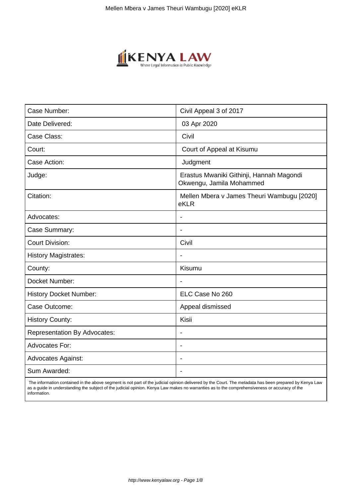

| Case Number:                        | Civil Appeal 3 of 2017                                               |
|-------------------------------------|----------------------------------------------------------------------|
| Date Delivered:                     | 03 Apr 2020                                                          |
| Case Class:                         | Civil                                                                |
| Court:                              | Court of Appeal at Kisumu                                            |
| Case Action:                        | Judgment                                                             |
| Judge:                              | Erastus Mwaniki Githinji, Hannah Magondi<br>Okwengu, Jamila Mohammed |
| Citation:                           | Mellen Mbera v James Theuri Wambugu [2020]<br>eKLR                   |
| Advocates:                          |                                                                      |
| Case Summary:                       | $\blacksquare$                                                       |
| <b>Court Division:</b>              | Civil                                                                |
| <b>History Magistrates:</b>         |                                                                      |
| County:                             | Kisumu                                                               |
| Docket Number:                      | $\blacksquare$                                                       |
| <b>History Docket Number:</b>       | ELC Case No 260                                                      |
| Case Outcome:                       | Appeal dismissed                                                     |
| <b>History County:</b>              | Kisii                                                                |
| <b>Representation By Advocates:</b> | $\overline{\phantom{a}}$                                             |
| Advocates For:                      | $\overline{\phantom{a}}$                                             |
| <b>Advocates Against:</b>           |                                                                      |
| Sum Awarded:                        |                                                                      |
|                                     |                                                                      |

 The information contained in the above segment is not part of the judicial opinion delivered by the Court. The metadata has been prepared by Kenya Law as a guide in understanding the subject of the judicial opinion. Kenya Law makes no warranties as to the comprehensiveness or accuracy of the information.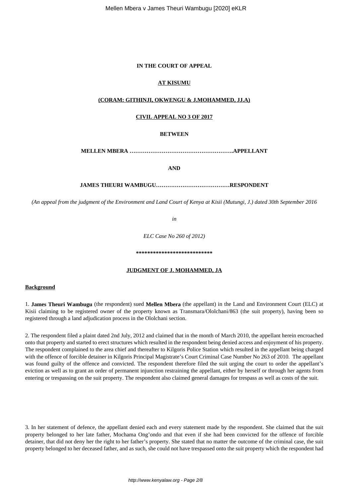## **IN THE COURT OF APPEAL**

## **AT KISUMU**

## **(CORAM: GITHINJI, OKWENGU & J.MOHAMMED, JJ.A)**

## **CIVIL APPEAL NO 3 OF 2017**

#### **BETWEEN**

**MELLEN MBERA ……………………………………………….APPELLANT**

**AND**

## **JAMES THEURI WAMBUGU…………………………………RESPONDENT**

*(An appeal from the judgment of the Environment and Land Court of Kenya at Kisii (Mutungi, J.) dated 30th September 2016*

*in*

*ELC Case No 260 of 2012)*

## **\*\*\*\*\*\*\*\*\*\*\*\*\*\*\*\*\*\*\*\*\*\*\*\*\*\*\***

#### **JUDGMENT OF J. MOHAMMED, JA**

## **Background**

1. **James Theuri Wambugu** (the respondent) sued **Mellen Mbera** (the appellant) in the Land and Environment Court (ELC) at Kisii claiming to be registered owner of the property known as Transmara/Ololchani/863 (the suit property), having been so registered through a land adjudication process in the Ololchani section.

2. The respondent filed a plaint dated 2nd July, 2012 and claimed that in the month of March 2010, the appellant herein encroached onto that property and started to erect structures which resulted in the respondent being denied access and enjoyment of his property. The respondent complained to the area chief and thereafter to Kilgoris Police Station which resulted in the appellant being charged with the offence of forcible detainer in Kilgoris Principal Magistrate's Court Criminal Case Number No 263 of 2010. The appellant was found guilty of the offence and convicted. The respondent therefore filed the suit urging the court to order the appellant's eviction as well as to grant an order of permanent injunction restraining the appellant, either by herself or through her agents from entering or trespassing on the suit property. The respondent also claimed general damages for trespass as well as costs of the suit.

3. In her statement of defence, the appellant denied each and every statement made by the respondent. She claimed that the suit property belonged to her late father, Mochama Ong'ondo and that even if she had been convicted for the offence of forcible detainer, that did not deny her the right to her father's property. She stated that no matter the outcome of the criminal case, the suit property belonged to her deceased father, and as such, she could not have trespassed onto the suit property which the respondent had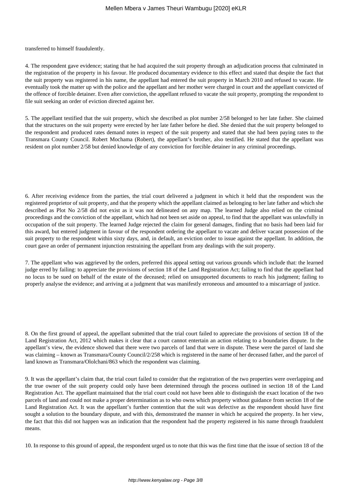transferred to himself fraudulently.

4. The respondent gave evidence; stating that he had acquired the suit property through an adjudication process that culminated in the registration of the property in his favour. He produced documentary evidence to this effect and stated that despite the fact that the suit property was registered in his name, the appellant had entered the suit property in March 2010 and refused to vacate. He eventually took the matter up with the police and the appellant and her mother were charged in court and the appellant convicted of the offence of forcible detainer. Even after conviction, the appellant refused to vacate the suit property, prompting the respondent to file suit seeking an order of eviction directed against her.

5. The appellant testified that the suit property, which she described as plot number 2/58 belonged to her late father. She claimed that the structures on the suit property were erected by her late father before he died. She denied that the suit property belonged to the respondent and produced rates demand notes in respect of the suit property and stated that she had been paying rates to the Transmara County Council. Robert Mochama (Robert), the appellant's brother, also testified. He stated that the appellant was resident on plot number 2/58 but denied knowledge of any conviction for forcible detainer in any criminal proceedings.

6. After receiving evidence from the parties, the trial court delivered a judgment in which it held that the respondent was the registered proprietor of suit property, and that the property which the appellant claimed as belonging to her late father and which she described as Plot No 2/58 did not exist as it was not delineated on any map. The learned Judge also relied on the criminal proceedings and the conviction of the appellant, which had not been set aside on appeal, to find that the appellant was unlawfully in occupation of the suit property. The learned Judge rejected the claim for general damages, finding that no basis had been laid for this award, but entered judgment in favour of the respondent ordering the appellant to vacate and deliver vacant possession of the suit property to the respondent within sixty days, and, in default, an eviction order to issue against the appellant. In addition, the court gave an order of permanent injunction restraining the appellant from any dealings with the suit property.

7. The appellant who was aggrieved by the orders, preferred this appeal setting out various grounds which include that: the learned judge erred by failing: to appreciate the provisions of section 18 of the Land Registration Act; failing to find that the appellant had no locus to be sued on behalf of the estate of the deceased; relied on unsupported documents to reach his judgment; failing to properly analyse the evidence; and arriving at a judgment that was manifestly erroneous and amounted to a miscarriage of justice.

8. On the first ground of appeal, the appellant submitted that the trial court failed to appreciate the provisions of section 18 of the Land Registration Act, 2012 which makes it clear that a court cannot entertain an action relating to a boundaries dispute. In the appellant's view, the evidence showed that there were two parcels of land that were in dispute. These were the parcel of land she was claiming – known as Transmara/County Council/2/258 which is registered in the name of her deceased father, and the parcel of land known as Transmara/Ololchani/863 which the respondent was claiming.

9. It was the appellant's claim that, the trial court failed to consider that the registration of the two properties were overlapping and the true owner of the suit property could only have been determined through the process outlined in section 18 of the Land Registration Act. The appellant maintained that the trial court could not have been able to distinguish the exact location of the two parcels of land and could not make a proper determination as to who owns which property without guidance from section 18 of the Land Registration Act. It was the appellant's further contention that the suit was defective as the respondent should have first sought a solution to the boundary dispute, and with this, demonstrated the manner in which he acquired the property. In her view, the fact that this did not happen was an indication that the respondent had the property registered in his name through fraudulent means.

10. In response to this ground of appeal, the respondent urged us to note that this was the first time that the issue of section 18 of the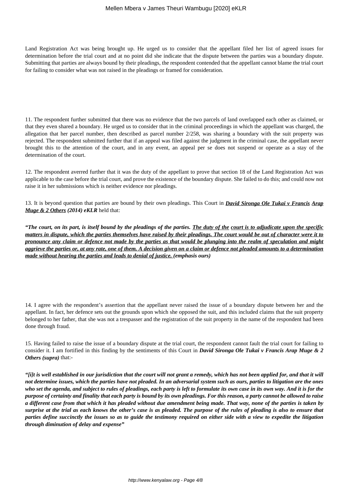Land Registration Act was being brought up. He urged us to consider that the appellant filed her list of agreed issues for determination before the trial court and at no point did she indicate that the dispute between the parties was a boundary dispute. Submitting that parties are always bound by their pleadings, the respondent contended that the appellant cannot blame the trial court for failing to consider what was not raised in the pleadings or framed for consideration.

11. The respondent further submitted that there was no evidence that the two parcels of land overlapped each other as claimed, or that they even shared a boundary. He urged us to consider that in the criminal proceedings in which the appellant was charged, the allegation that her parcel number, then described as parcel number 2/258, was sharing a boundary with the suit property was rejected. The respondent submitted further that if an appeal was filed against the judgment in the criminal case, the appellant never brought this to the attention of the court, and in any event, an appeal per se does not suspend or operate as a stay of the determination of the court.

12. The respondent averred further that it was the duty of the appellant to prove that section 18 of the Land Registration Act was applicable to the case before the trial court, and prove the existence of the boundary dispute. She failed to do this; and could now not raise it in her submissions which is neither evidence nor pleadings.

13. It is beyond question that parties are bound by their own pleadings. This Court in *David Sironga Ole Tukai v Francis Arap Muge & 2 Others (2014) eKLR* held that:

*"The court, on its part, is itself bound by the pleadings of the parties. The duty of the court is to adjudicate upon the specific matters in dispute, which the parties themselves have raised by their pleadings. The court would be out of character were it to pronounce any claim or defence not made by the parties as that would be plunging into the realm of speculation and might aggrieve the parties or, at any rate, one of them. A decision given on a claim or defence not pleaded amounts to a determination made without hearing the parties and leads to denial of justice. (emphasis ours)*

14. I agree with the respondent's assertion that the appellant never raised the issue of a boundary dispute between her and the appellant. In fact, her defence sets out the grounds upon which she opposed the suit, and this included claims that the suit property belonged to her father, that she was not a trespasser and the registration of the suit property in the name of the respondent had been done through fraud.

15. Having failed to raise the issue of a boundary dispute at the trial court, the respondent cannot fault the trial court for failing to consider it. I am fortified in this finding by the sentiments of this Court in *David Sironga Ole Tukai v Francis Arap Muge & 2 Others (supra)* that:-

*"[i]t is well established in our jurisdiction that the court will not grant a remedy, which has not been applied for, and that it will not determine issues, which the parties have not pleaded. In an adversarial system such as ours, parties to litigation are the ones who set the agenda, and subject to rules of pleadings, each party is left to formulate its own case in its own way. And it is for the purpose of certainty and finality that each party is bound by its own pleadings. For this reason, a party cannot be allowed to raise a different case from that which it has pleaded without due amendment being made. That way, none of the parties is taken by surprise at the trial as each knows the other's case is as pleaded. The purpose of the rules of pleading is also to ensure that parties define succinctly the issues so as to guide the testimony required on either side with a view to expedite the litigation through diminution of delay and expense"*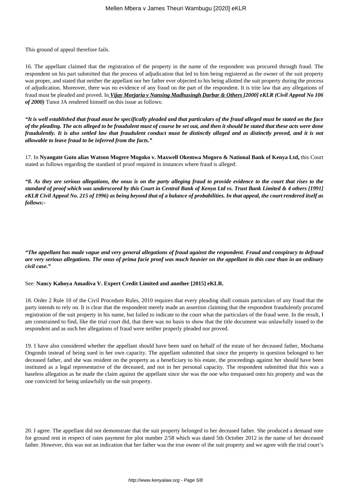This ground of appeal therefore fails.

16. The appellant claimed that the registration of the property in the name of the respondent was procured through fraud. The respondent on his part submitted that the process of adjudication that led to him being registered as the owner of the suit property was proper, and stated that neither the appellant nor her father ever objected to his being allotted the suit property during the process of adjudication. Moreover, there was no evidence of any fraud on the part of the respondent. It is trite law that any allegations of fraud must be pleaded and proved. In *Vijay Morjaria v Nansing Madhusingh Darbar & Others [2000] eKLR (Civil Appeal No 106 of 2000)* Tunoi JA rendered himself on this issue as follows:

*"It is well established that fraud must be specifically pleaded and that particulars of the fraud alleged must be stated on the face of the pleading. The acts alleged to be fraudulent must of course be set out, and then it should be stated that these acts were done fraudulently. It is also settled law that fraudulent conduct must be distinctly alleged and as distinctly proved, and it is not allowable to leave fraud to be inferred from the facts."*

17. In **Nyangate Guto alias Watson Mogere Mogoko v. Maxwell Okemwa Mogoro & National Bank of Kenya Ltd,** this Court stated as follows regarding the standard of proof required in instances where fraud is alleged:

*"8. As they are serious allegations, the onus is on the party alleging fraud to provide evidence to the court that rises to the standard of proof which was underscored by this Court in Central Bank of Kenya Ltd vs. Trust Bank Limited & 4 others [1991] eKLR Civil Appeal No. 215 of 1996) as being beyond that of a balance of probabilities. In that appeal, the court rendered itself as follows:-*

*"The appellant has made vague and very general allegations of fraud against the respondent. Fraud and conspiracy to defraud are very serious allegations. The onus of prima facie proof was much heavier on the appellant in this case than in an ordinary civil case."*

#### See: **Nancy Kahoya Amadiva V. Expert Credit Limited and another [2015] eKLR.**

18. Order 2 Rule 10 of the Civil Procedure Rules, 2010 requires that every pleading shall contain particulars of any fraud that the party intends to rely on. It is clear that the respondent merely made an assertion claiming that the respondent fraudulently procured registration of the suit property in his name, but failed to indicate to the court what the particulars of the fraud were. In the result, I am constrained to find, like the trial court did, that there was no basis to show that the title document was unlawfully issued to the respondent and as such her allegations of fraud were neither properly pleaded nor proved.

19. I have also considered whether the appellant should have been sued on behalf of the estate of her deceased father, Mochama Ongondo instead of being sued in her own capacity. The appellant submitted that since the property in question belonged to her deceased father, and she was resident on the property as a beneficiary to his estate, the proceedings against her should have been instituted as a legal representative of the deceased, and not in her personal capacity. The respondent submitted that this was a baseless allegation as he made the claim against the appellant since she was the one who trespassed onto his property and was the one convicted for being unlawfully on the suit property.

20. I agree. The appellant did not demonstrate that the suit property belonged to her deceased father. She produced a demand note for ground rent in respect of rates payment for plot number 2/58 which was dated 5th October 2012 in the name of her deceased father. However, this was not an indication that her father was the true owner of the suit property and we agree with the trial court's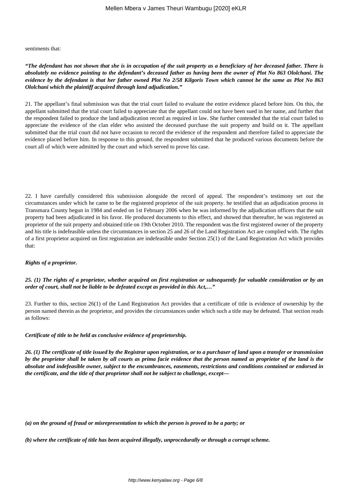sentiments that:

## *"The defendant has not shown that she is in occupation of the suit property as a beneficiary of her deceased father. There is absolutely no evidence pointing to the defendant's deceased father as having been the owner of Plot No 863 Ololchani. The evidence by the defendant is that her father owned Plot No 2/58 Kilgoris Town which cannot be the same as Plot No 863 Ololchani which the plaintiff acquired through land adjudication."*

21. The appellant's final submission was that the trial court failed to evaluate the entire evidence placed before him. On this, the appellant submitted that the trial court failed to appreciate that the appellant could not have been sued in her name, and further that the respondent failed to produce the land adjudication record as required in law. She further contended that the trial court failed to appreciate the evidence of the clan elder who assisted the deceased purchase the suit property and build on it. The appellant submitted that the trial court did not have occasion to record the evidence of the respondent and therefore failed to appreciate the evidence placed before him. In response to this ground, the respondent submitted that he produced various documents before the court all of which were admitted by the court and which served to prove his case.

22. I have carefully considered this submission alongside the record of appeal. The respondent's testimony set out the circumstances under which he came to be the registered proprietor of the suit property. he testified that an adjudication process in Transmara County begun in 1984 and ended on 1st February 2006 when he was informed by the adjudication officers that the suit property had been adjudicated in his favor. He produced documents to this effect, and showed that thereafter, he was registered as proprietor of the suit property and obtained title on 19th October 2010. The respondent was the first registered owner of the property and his title is indefeasible unless the circumstances in section 25 and 26 of the Land Registration Act are complied with. The rights of a first proprietor acquired on first registration are indefeasible under Section 25(1) of the Land Registration Act which provides that:

## *Rights of a proprietor.*

## *25. (1) The rights of a proprietor, whether acquired on first registration or subsequently for valuable consideration or by an order of court, shall not be liable to be defeated except as provided in this Act,…"*

23. Further to this, section 26(1) of the Land Registration Act provides that a certificate of title is evidence of ownership by the person named therein as the proprietor, and provides the circumstances under which such a title may be defeated. That section reads as follows:

## *Certificate of title to be held as conclusive evidence of proprietorship.*

*26. (1) The certificate of title issued by the Registrar upon registration, or to a purchaser of land upon a transfer or transmission by the proprietor shall be taken by all courts as prima facie evidence that the person named as proprietor of the land is the absolute and indefeasible owner, subject to the encumbrances, easements, restrictions and conditions contained or endorsed in the certificate, and the title of that proprietor shall not be subject to challenge, except—*

*(a) on the ground of fraud or misrepresentation to which the person is proved to be a party; or*

*(b) where the certificate of title has been acquired illegally, unprocedurally or through a corrupt scheme.*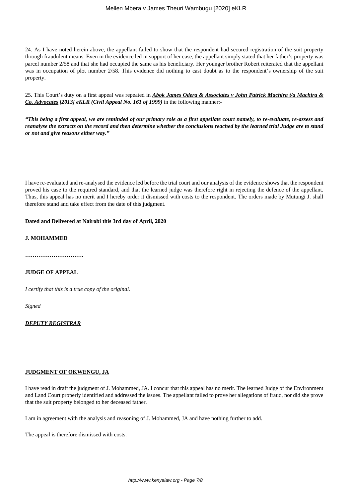### Mellen Mbera v James Theuri Wambugu [2020] eKLR

24. As I have noted herein above, the appellant failed to show that the respondent had secured registration of the suit property through fraudulent means. Even in the evidence led in support of her case, the appellant simply stated that her father's property was parcel number 2/58 and that she had occupied the same as his beneficiary. Her younger brother Robert reiterated that the appellant was in occupation of plot number 2/58. This evidence did nothing to cast doubt as to the respondent's ownership of the suit property.

25. This Court's duty on a first appeal was repeated in *Abok James Odera & Associates v John Patrick Machira t/a Machira & Co. Advocates [2013] eKLR (Civil Appeal No. 161 of 1999)* in the following manner:-

*"This being a first appeal, we are reminded of our primary role as a first appellate court namely, to re-evaluate, re-assess and reanalyse the extracts on the record and then determine whether the conclusions reached by the learned trial Judge are to stand or not and give reasons either way."*

I have re-evaluated and re-analysed the evidence led before the trial court and our analysis of the evidence shows that the respondent proved his case to the required standard, and that the learned judge was therefore right in rejecting the defence of the appellant. Thus, this appeal has no merit and I hereby order it dismissed with costs to the respondent. The orders made by Mutungi J. shall therefore stand and take effect from the date of this judgment.

#### **Dated and Delivered at Nairobi this 3rd day of April, 2020**

#### **J. MOHAMMED**

**………………………….**

## **JUDGE OF APPEAL**

*I certify that this is a true copy of the original.*

*Signed*

#### *DEPUTY REGISTRAR*

#### **JUDGMENT OF OKWENGU, JA**

I have read in draft the judgment of J. Mohammed, JA. I concur that this appeal has no merit. The learned Judge of the Environment and Land Court properly identified and addressed the issues. The appellant failed to prove her allegations of fraud, nor did she prove that the suit property belonged to her deceased father.

I am in agreement with the analysis and reasoning of J. Mohammed, JA and have nothing further to add.

The appeal is therefore dismissed with costs.